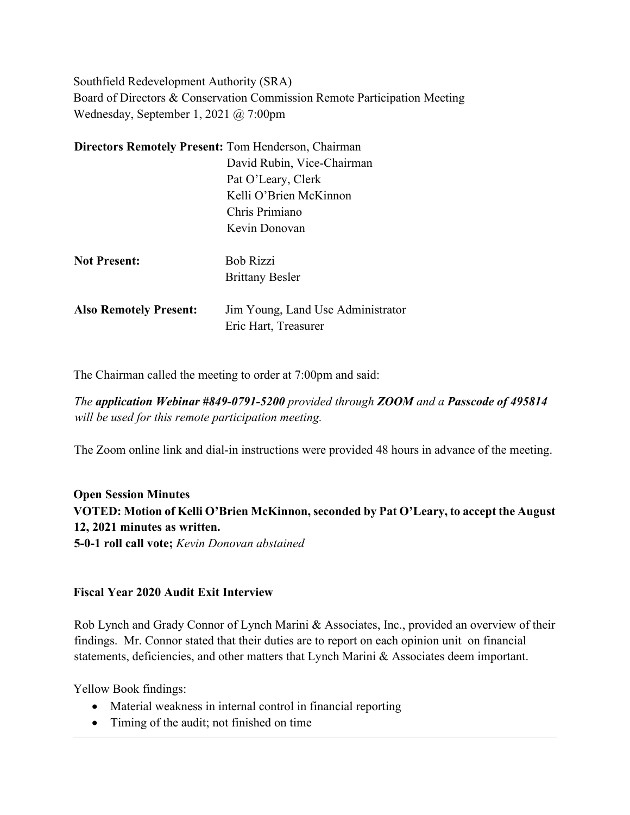Southfield Redevelopment Authority (SRA) Board of Directors & Conservation Commission Remote Participation Meeting Wednesday, September 1, 2021 @ 7:00pm

| <b>Directors Remotely Present: Tom Henderson, Chairman</b> |                                   |
|------------------------------------------------------------|-----------------------------------|
|                                                            | David Rubin, Vice-Chairman        |
|                                                            | Pat O'Leary, Clerk                |
|                                                            | Kelli O'Brien McKinnon            |
|                                                            | Chris Primiano                    |
|                                                            | Kevin Donovan                     |
|                                                            |                                   |
| <b>Not Present:</b>                                        | <b>Bob Rizzi</b>                  |
|                                                            | <b>Brittany Besler</b>            |
|                                                            |                                   |
| <b>Also Remotely Present:</b>                              | Jim Young, Land Use Administrator |
|                                                            | Eric Hart, Treasurer              |

The Chairman called the meeting to order at 7:00pm and said:

*The application Webinar #849-0791-5200 provided through ZOOM and a Passcode of 495814 will be used for this remote participation meeting.*

The Zoom online link and dial-in instructions were provided 48 hours in advance of the meeting.

**Open Session Minutes VOTED: Motion of Kelli O'Brien McKinnon, seconded by Pat O'Leary, to accept the August 12, 2021 minutes as written. 5-0-1 roll call vote;** *Kevin Donovan abstained*

#### **Fiscal Year 2020 Audit Exit Interview**

Rob Lynch and Grady Connor of Lynch Marini & Associates, Inc., provided an overview of their findings. Mr. Connor stated that their duties are to report on each opinion unit on financial statements, deficiencies, and other matters that Lynch Marini & Associates deem important.

Yellow Book findings:

- Material weakness in internal control in financial reporting
- Timing of the audit; not finished on time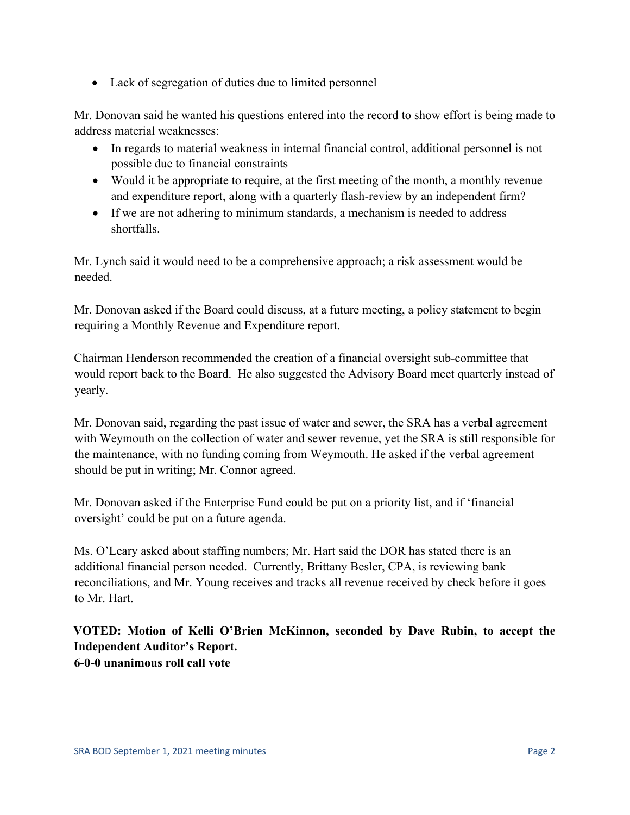• Lack of segregation of duties due to limited personnel

Mr. Donovan said he wanted his questions entered into the record to show effort is being made to address material weaknesses:

- In regards to material weakness in internal financial control, additional personnel is not possible due to financial constraints
- Would it be appropriate to require, at the first meeting of the month, a monthly revenue and expenditure report, along with a quarterly flash-review by an independent firm?
- If we are not adhering to minimum standards, a mechanism is needed to address shortfalls.

Mr. Lynch said it would need to be a comprehensive approach; a risk assessment would be needed.

Mr. Donovan asked if the Board could discuss, at a future meeting, a policy statement to begin requiring a Monthly Revenue and Expenditure report.

Chairman Henderson recommended the creation of a financial oversight sub-committee that would report back to the Board. He also suggested the Advisory Board meet quarterly instead of yearly.

Mr. Donovan said, regarding the past issue of water and sewer, the SRA has a verbal agreement with Weymouth on the collection of water and sewer revenue, yet the SRA is still responsible for the maintenance, with no funding coming from Weymouth. He asked if the verbal agreement should be put in writing; Mr. Connor agreed.

Mr. Donovan asked if the Enterprise Fund could be put on a priority list, and if 'financial oversight' could be put on a future agenda.

Ms. O'Leary asked about staffing numbers; Mr. Hart said the DOR has stated there is an additional financial person needed. Currently, Brittany Besler, CPA, is reviewing bank reconciliations, and Mr. Young receives and tracks all revenue received by check before it goes to Mr. Hart.

**VOTED: Motion of Kelli O'Brien McKinnon, seconded by Dave Rubin, to accept the Independent Auditor's Report. 6-0-0 unanimous roll call vote**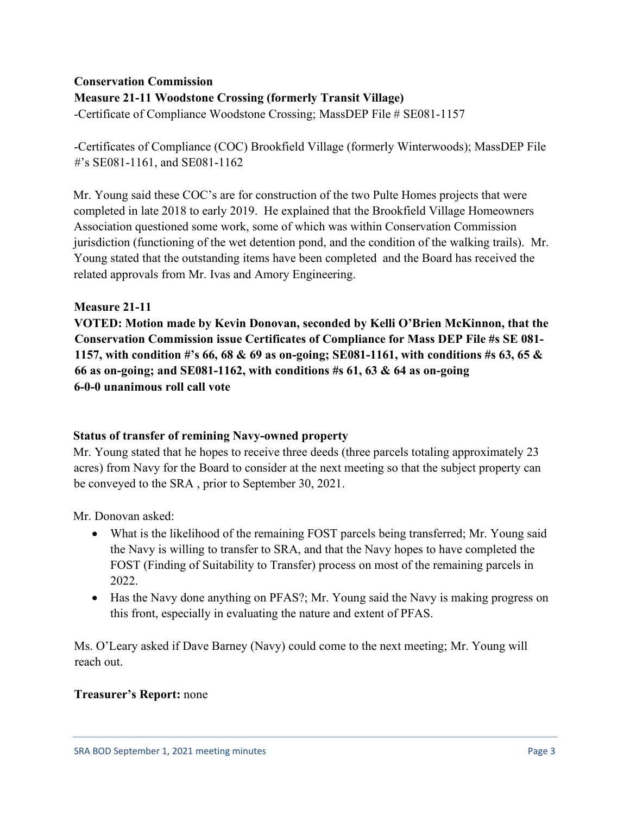# **Conservation Commission Measure 21-11 Woodstone Crossing (formerly Transit Village)**

-Certificate of Compliance Woodstone Crossing; MassDEP File # SE081-1157

-Certificates of Compliance (COC) Brookfield Village (formerly Winterwoods); MassDEP File #'s SE081-1161, and SE081-1162

Mr. Young said these COC's are for construction of the two Pulte Homes projects that were completed in late 2018 to early 2019. He explained that the Brookfield Village Homeowners Association questioned some work, some of which was within Conservation Commission jurisdiction (functioning of the wet detention pond, and the condition of the walking trails). Mr. Young stated that the outstanding items have been completed and the Board has received the related approvals from Mr. Ivas and Amory Engineering.

# **Measure 21-11**

**VOTED: Motion made by Kevin Donovan, seconded by Kelli O'Brien McKinnon, that the Conservation Commission issue Certificates of Compliance for Mass DEP File #s SE 081- 1157, with condition #'s 66, 68 & 69 as on-going; SE081-1161, with conditions #s 63, 65 & 66 as on-going; and SE081-1162, with conditions #s 61, 63 & 64 as on-going 6-0-0 unanimous roll call vote**

# **Status of transfer of remining Navy-owned property**

Mr. Young stated that he hopes to receive three deeds (three parcels totaling approximately 23 acres) from Navy for the Board to consider at the next meeting so that the subject property can be conveyed to the SRA , prior to September 30, 2021.

Mr. Donovan asked:

- What is the likelihood of the remaining FOST parcels being transferred; Mr. Young said the Navy is willing to transfer to SRA, and that the Navy hopes to have completed the FOST (Finding of Suitability to Transfer) process on most of the remaining parcels in 2022.
- Has the Navy done anything on PFAS?; Mr. Young said the Navy is making progress on this front, especially in evaluating the nature and extent of PFAS.

Ms. O'Leary asked if Dave Barney (Navy) could come to the next meeting; Mr. Young will reach out.

# **Treasurer's Report:** none